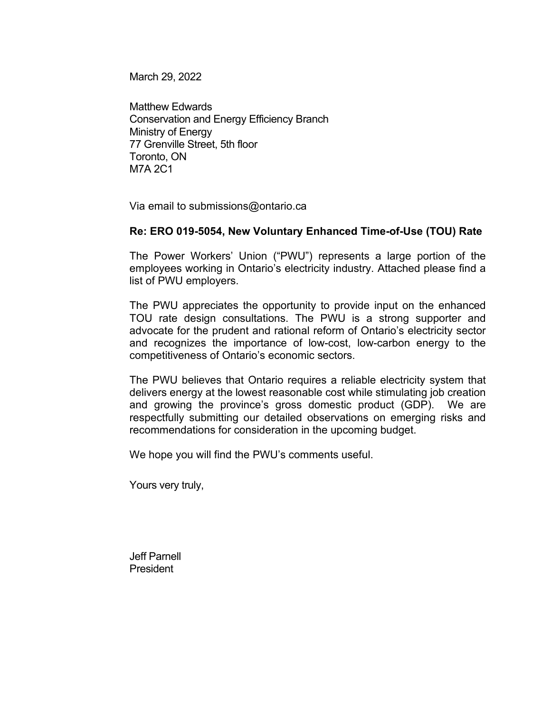March 29, 2022

Matthew Edwards Conservation and Energy Efficiency Branch Ministry of Energy 77 Grenville Street, 5th floor Toronto, ON M7A 2C1

Via email to submissions@ontario.ca

## **Re: ERO 019-5054, New Voluntary Enhanced Time-of-Use (TOU) Rate**

The Power Workers' Union ("PWU") represents a large portion of the employees working in Ontario's electricity industry. Attached please find a list of PWU employers.

The PWU appreciates the opportunity to provide input on the enhanced TOU rate design consultations. The PWU is a strong supporter and advocate for the prudent and rational reform of Ontario's electricity sector and recognizes the importance of low-cost, low-carbon energy to the competitiveness of Ontario's economic sectors.

The PWU believes that Ontario requires a reliable electricity system that delivers energy at the lowest reasonable cost while stimulating job creation and growing the province's gross domestic product (GDP). We are respectfully submitting our detailed observations on emerging risks and recommendations for consideration in the upcoming budget.

We hope you will find the PWU's comments useful.

Yours very truly,

Jeff Parnell President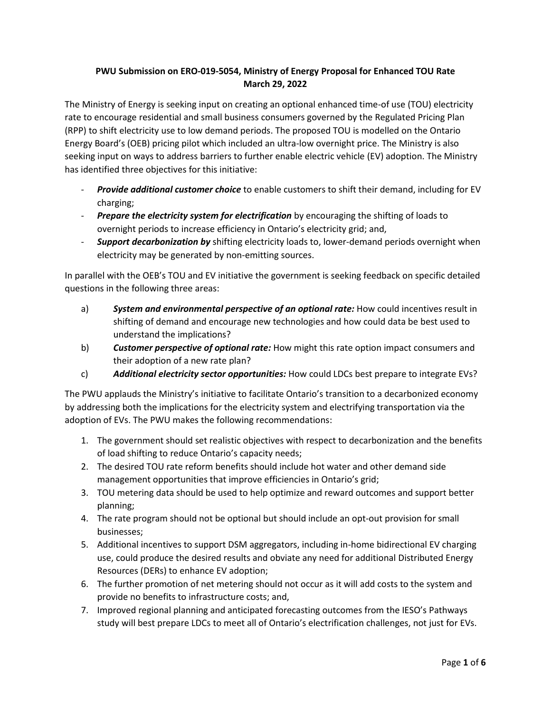## **PWU Submission on ERO-019-5054, Ministry of Energy Proposal for Enhanced TOU Rate March 29, 2022**

The Ministry of Energy is seeking input on creating an optional enhanced time-of use (TOU) electricity rate to encourage residential and small business consumers governed by the Regulated Pricing Plan (RPP) to shift electricity use to low demand periods. The proposed TOU is modelled on the Ontario Energy Board's (OEB) pricing pilot which included an ultra-low overnight price. The Ministry is also seeking input on ways to address barriers to further enable electric vehicle (EV) adoption. The Ministry has identified three objectives for this initiative:

- *Provide additional customer choice* to enable customers to shift their demand, including for EV charging;
- *Prepare the electricity system for electrification* by encouraging the shifting of loads to overnight periods to increase efficiency in Ontario's electricity grid; and,
- *Support decarbonization by* shifting electricity loads to, lower-demand periods overnight when electricity may be generated by non-emitting sources.

In parallel with the OEB's TOU and EV initiative the government is seeking feedback on specific detailed questions in the following three areas:

- a) *System and environmental perspective of an optional rate:* How could incentives result in shifting of demand and encourage new technologies and how could data be best used to understand the implications?
- b) *Customer perspective of optional rate:* How might this rate option impact consumers and their adoption of a new rate plan?
- c) *Additional electricity sector opportunities:* How could LDCs best prepare to integrate EVs?

The PWU applauds the Ministry's initiative to facilitate Ontario's transition to a decarbonized economy by addressing both the implications for the electricity system and electrifying transportation via the adoption of EVs. The PWU makes the following recommendations:

- 1. The government should set realistic objectives with respect to decarbonization and the benefits of load shifting to reduce Ontario's capacity needs;
- 2. The desired TOU rate reform benefits should include hot water and other demand side management opportunities that improve efficiencies in Ontario's grid;
- 3. TOU metering data should be used to help optimize and reward outcomes and support better planning;
- 4. The rate program should not be optional but should include an opt-out provision for small businesses;
- 5. Additional incentives to support DSM aggregators, including in-home bidirectional EV charging use, could produce the desired results and obviate any need for additional Distributed Energy Resources (DERs) to enhance EV adoption;
- 6. The further promotion of net metering should not occur as it will add costs to the system and provide no benefits to infrastructure costs; and,
- 7. Improved regional planning and anticipated forecasting outcomes from the IESO's Pathways study will best prepare LDCs to meet all of Ontario's electrification challenges, not just for EVs.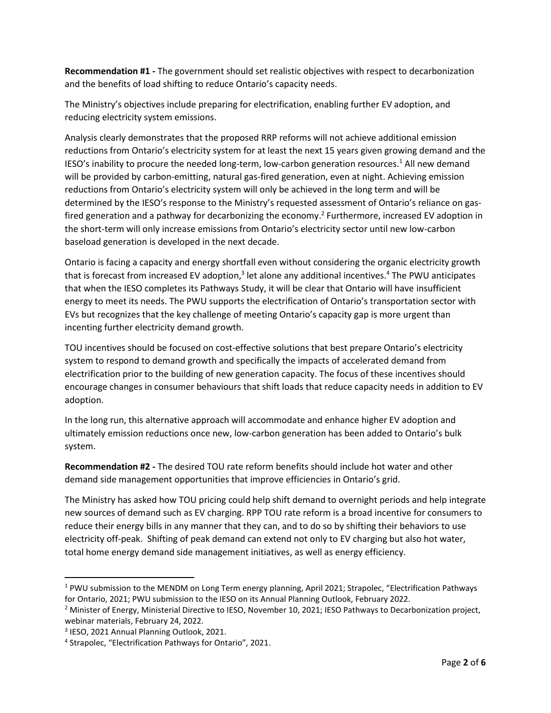**Recommendation #1 -** The government should set realistic objectives with respect to decarbonization and the benefits of load shifting to reduce Ontario's capacity needs.

The Ministry's objectives include preparing for electrification, enabling further EV adoption, and reducing electricity system emissions.

Analysis clearly demonstrates that the proposed RRP reforms will not achieve additional emission reductions from Ontario's electricity system for at least the next 15 years given growing demand and the IESO's inability to procure the needed long-term, low-carbon generation resources. <sup>1</sup> All new demand will be provided by carbon-emitting, natural gas-fired generation, even at night. Achieving emission reductions from Ontario's electricity system will only be achieved in the long term and will be determined by the IESO's response to the Ministry's requested assessment of Ontario's reliance on gasfired generation and a pathway for decarbonizing the economy.<sup>2</sup> Furthermore, increased EV adoption in the short-term will only increase emissions from Ontario's electricity sector until new low-carbon baseload generation is developed in the next decade.

Ontario is facing a capacity and energy shortfall even without considering the organic electricity growth that is forecast from increased EV adoption,<sup>3</sup> let alone any additional incentives.<sup>4</sup> The PWU anticipates that when the IESO completes its Pathways Study, it will be clear that Ontario will have insufficient energy to meet its needs. The PWU supports the electrification of Ontario's transportation sector with EVs but recognizes that the key challenge of meeting Ontario's capacity gap is more urgent than incenting further electricity demand growth.

TOU incentives should be focused on cost-effective solutions that best prepare Ontario's electricity system to respond to demand growth and specifically the impacts of accelerated demand from electrification prior to the building of new generation capacity. The focus of these incentives should encourage changes in consumer behaviours that shift loads that reduce capacity needs in addition to EV adoption.

In the long run, this alternative approach will accommodate and enhance higher EV adoption and ultimately emission reductions once new, low-carbon generation has been added to Ontario's bulk system.

**Recommendation #2 -** The desired TOU rate reform benefits should include hot water and other demand side management opportunities that improve efficiencies in Ontario's grid.

The Ministry has asked how TOU pricing could help shift demand to overnight periods and help integrate new sources of demand such as EV charging. RPP TOU rate reform is a broad incentive for consumers to reduce their energy bills in any manner that they can, and to do so by shifting their behaviors to use electricity off-peak. Shifting of peak demand can extend not only to EV charging but also hot water, total home energy demand side management initiatives, as well as energy efficiency.

<sup>1</sup> PWU submission to the MENDM on Long Term energy planning, April 2021; Strapolec, "Electrification Pathways for Ontario, 2021; PWU submission to the IESO on its Annual Planning Outlook, February 2022.

<sup>&</sup>lt;sup>2</sup> Minister of Energy, Ministerial Directive to IESO, November 10, 2021; IESO Pathways to Decarbonization project, webinar materials, February 24, 2022.

<sup>3</sup> IESO, 2021 Annual Planning Outlook, 2021.

<sup>4</sup> Strapolec, "Electrification Pathways for Ontario", 2021.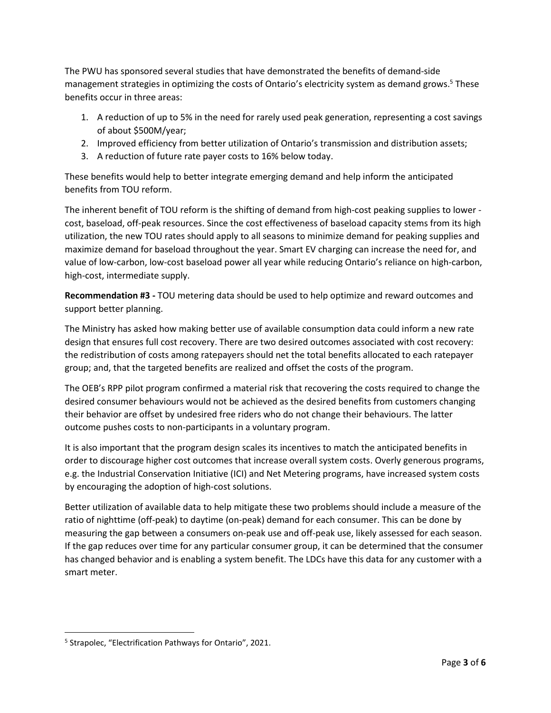The PWU has sponsored several studies that have demonstrated the benefits of demand-side management strategies in optimizing the costs of Ontario's electricity system as demand grows.<sup>5</sup> These benefits occur in three areas:

- 1. A reduction of up to 5% in the need for rarely used peak generation, representing a cost savings of about \$500M/year;
- 2. Improved efficiency from better utilization of Ontario's transmission and distribution assets;
- 3. A reduction of future rate payer costs to 16% below today.

These benefits would help to better integrate emerging demand and help inform the anticipated benefits from TOU reform.

The inherent benefit of TOU reform is the shifting of demand from high-cost peaking supplies to lower cost, baseload, off-peak resources. Since the cost effectiveness of baseload capacity stems from its high utilization, the new TOU rates should apply to all seasons to minimize demand for peaking supplies and maximize demand for baseload throughout the year. Smart EV charging can increase the need for, and value of low-carbon, low-cost baseload power all year while reducing Ontario's reliance on high-carbon, high-cost, intermediate supply.

**Recommendation #3 -** TOU metering data should be used to help optimize and reward outcomes and support better planning.

The Ministry has asked how making better use of available consumption data could inform a new rate design that ensures full cost recovery. There are two desired outcomes associated with cost recovery: the redistribution of costs among ratepayers should net the total benefits allocated to each ratepayer group; and, that the targeted benefits are realized and offset the costs of the program.

The OEB's RPP pilot program confirmed a material risk that recovering the costs required to change the desired consumer behaviours would not be achieved as the desired benefits from customers changing their behavior are offset by undesired free riders who do not change their behaviours. The latter outcome pushes costs to non-participants in a voluntary program.

It is also important that the program design scales its incentives to match the anticipated benefits in order to discourage higher cost outcomes that increase overall system costs. Overly generous programs, e.g. the Industrial Conservation Initiative (ICI) and Net Metering programs, have increased system costs by encouraging the adoption of high-cost solutions.

Better utilization of available data to help mitigate these two problems should include a measure of the ratio of nighttime (off-peak) to daytime (on-peak) demand for each consumer. This can be done by measuring the gap between a consumers on-peak use and off-peak use, likely assessed for each season. If the gap reduces over time for any particular consumer group, it can be determined that the consumer has changed behavior and is enabling a system benefit. The LDCs have this data for any customer with a smart meter.

<sup>&</sup>lt;sup>5</sup> Strapolec, "Electrification Pathways for Ontario", 2021.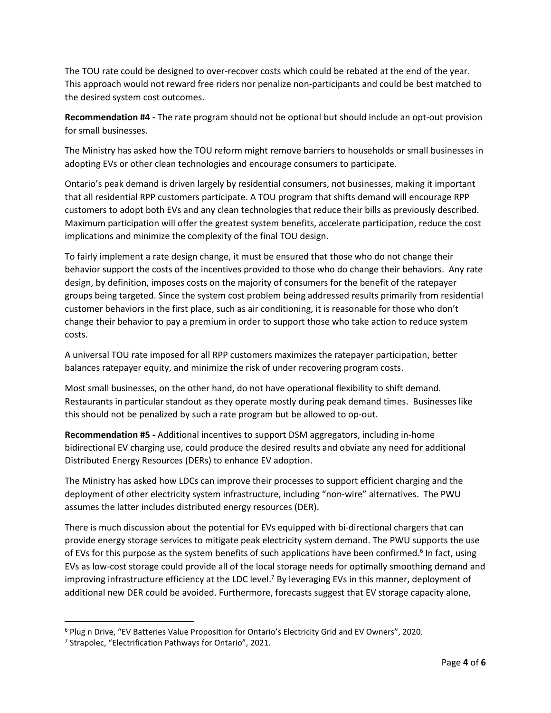The TOU rate could be designed to over-recover costs which could be rebated at the end of the year. This approach would not reward free riders nor penalize non-participants and could be best matched to the desired system cost outcomes.

**Recommendation #4 -** The rate program should not be optional but should include an opt-out provision for small businesses.

The Ministry has asked how the TOU reform might remove barriers to households or small businesses in adopting EVs or other clean technologies and encourage consumers to participate.

Ontario's peak demand is driven largely by residential consumers, not businesses, making it important that all residential RPP customers participate. A TOU program that shifts demand will encourage RPP customers to adopt both EVs and any clean technologies that reduce their bills as previously described. Maximum participation will offer the greatest system benefits, accelerate participation, reduce the cost implications and minimize the complexity of the final TOU design.

To fairly implement a rate design change, it must be ensured that those who do not change their behavior support the costs of the incentives provided to those who do change their behaviors. Any rate design, by definition, imposes costs on the majority of consumers for the benefit of the ratepayer groups being targeted. Since the system cost problem being addressed results primarily from residential customer behaviors in the first place, such as air conditioning, it is reasonable for those who don't change their behavior to pay a premium in order to support those who take action to reduce system costs.

A universal TOU rate imposed for all RPP customers maximizes the ratepayer participation, better balances ratepayer equity, and minimize the risk of under recovering program costs.

Most small businesses, on the other hand, do not have operational flexibility to shift demand. Restaurants in particular standout as they operate mostly during peak demand times. Businesses like this should not be penalized by such a rate program but be allowed to op-out.

**Recommendation #5 -** Additional incentives to support DSM aggregators, including in-home bidirectional EV charging use, could produce the desired results and obviate any need for additional Distributed Energy Resources (DERs) to enhance EV adoption.

The Ministry has asked how LDCs can improve their processes to support efficient charging and the deployment of other electricity system infrastructure, including "non-wire" alternatives. The PWU assumes the latter includes distributed energy resources (DER).

There is much discussion about the potential for EVs equipped with bi-directional chargers that can provide energy storage services to mitigate peak electricity system demand. The PWU supports the use of EVs for this purpose as the system benefits of such applications have been confirmed.<sup>6</sup> In fact, using EVs as low-cost storage could provide all of the local storage needs for optimally smoothing demand and improving infrastructure efficiency at the LDC level.<sup>7</sup> By leveraging EVs in this manner, deployment of additional new DER could be avoided. Furthermore, forecasts suggest that EV storage capacity alone,

<sup>6</sup> Plug n Drive, "EV Batteries Value Proposition for Ontario's Electricity Grid and EV Owners", 2020.

<sup>&</sup>lt;sup>7</sup> Strapolec, "Electrification Pathways for Ontario", 2021.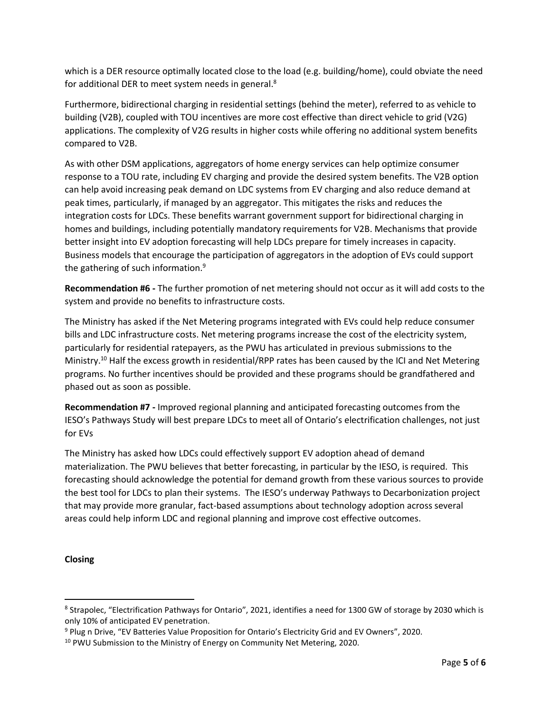which is a DER resource optimally located close to the load (e.g. building/home), could obviate the need for additional DER to meet system needs in general.<sup>8</sup>

Furthermore, bidirectional charging in residential settings (behind the meter), referred to as vehicle to building (V2B), coupled with TOU incentives are more cost effective than direct vehicle to grid (V2G) applications. The complexity of V2G results in higher costs while offering no additional system benefits compared to V2B.

As with other DSM applications, aggregators of home energy services can help optimize consumer response to a TOU rate, including EV charging and provide the desired system benefits. The V2B option can help avoid increasing peak demand on LDC systems from EV charging and also reduce demand at peak times, particularly, if managed by an aggregator. This mitigates the risks and reduces the integration costs for LDCs. These benefits warrant government support for bidirectional charging in homes and buildings, including potentially mandatory requirements for V2B. Mechanisms that provide better insight into EV adoption forecasting will help LDCs prepare for timely increases in capacity. Business models that encourage the participation of aggregators in the adoption of EVs could support the gathering of such information. $9$ 

**Recommendation #6 -** The further promotion of net metering should not occur as it will add costs to the system and provide no benefits to infrastructure costs.

The Ministry has asked if the Net Metering programs integrated with EVs could help reduce consumer bills and LDC infrastructure costs. Net metering programs increase the cost of the electricity system, particularly for residential ratepayers, as the PWU has articulated in previous submissions to the Ministry.<sup>10</sup> Half the excess growth in residential/RPP rates has been caused by the ICI and Net Metering programs. No further incentives should be provided and these programs should be grandfathered and phased out as soon as possible.

**Recommendation #7 -** Improved regional planning and anticipated forecasting outcomes from the IESO's Pathways Study will best prepare LDCs to meet all of Ontario's electrification challenges, not just for EVs

The Ministry has asked how LDCs could effectively support EV adoption ahead of demand materialization. The PWU believes that better forecasting, in particular by the IESO, is required. This forecasting should acknowledge the potential for demand growth from these various sources to provide the best tool for LDCs to plan their systems. The IESO's underway Pathways to Decarbonization project that may provide more granular, fact-based assumptions about technology adoption across several areas could help inform LDC and regional planning and improve cost effective outcomes.

## **Closing**

<sup>&</sup>lt;sup>8</sup> Strapolec, "Electrification Pathways for Ontario", 2021, identifies a need for 1300 GW of storage by 2030 which is only 10% of anticipated EV penetration.

<sup>9</sup> Plug n Drive, "EV Batteries Value Proposition for Ontario's Electricity Grid and EV Owners", 2020.

<sup>&</sup>lt;sup>10</sup> PWU Submission to the Ministry of Energy on Community Net Metering, 2020.